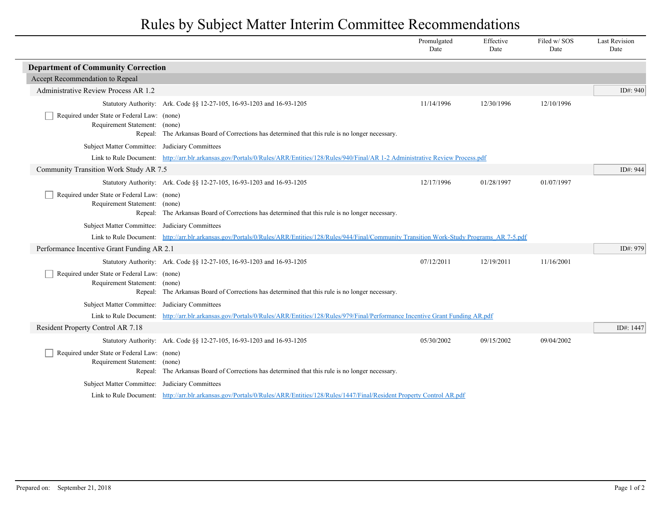## Rules by Subject Matter Interim Committee Recommendations

|                                                                              |                                                                                                                                                         | Promulgated<br>Date | Effective<br>Date | Filed w/SOS<br>Date | <b>Last Revision</b><br>Date |  |  |
|------------------------------------------------------------------------------|---------------------------------------------------------------------------------------------------------------------------------------------------------|---------------------|-------------------|---------------------|------------------------------|--|--|
| <b>Department of Community Correction</b>                                    |                                                                                                                                                         |                     |                   |                     |                              |  |  |
| Accept Recommendation to Repeal                                              |                                                                                                                                                         |                     |                   |                     |                              |  |  |
| Administrative Review Process AR 1.2                                         |                                                                                                                                                         |                     |                   |                     | ID#: 940                     |  |  |
|                                                                              | Statutory Authority: Ark. Code §§ 12-27-105, 16-93-1203 and 16-93-1205                                                                                  | 11/14/1996          | 12/30/1996        | 12/10/1996          |                              |  |  |
| Required under State or Federal Law: (none)<br>Requirement Statement: (none) | Repeal: The Arkansas Board of Corrections has determined that this rule is no longer necessary.                                                         |                     |                   |                     |                              |  |  |
| Subject Matter Committee: Judiciary Committees                               |                                                                                                                                                         |                     |                   |                     |                              |  |  |
|                                                                              | Link to Rule Document: http://arr.blr.arkansas.gov/Portals/0/Rules/ARR/Entities/128/Rules/940/Final/AR 1-2 Administrative Review Process.pdf            |                     |                   |                     |                              |  |  |
| Community Transition Work Study AR 7.5                                       |                                                                                                                                                         |                     |                   |                     | ID#: 944                     |  |  |
|                                                                              | Statutory Authority: Ark. Code §§ 12-27-105, 16-93-1203 and 16-93-1205                                                                                  | 12/17/1996          | 01/28/1997        | 01/07/1997          |                              |  |  |
| Required under State or Federal Law: (none)<br>Requirement Statement: (none) | Repeal: The Arkansas Board of Corrections has determined that this rule is no longer necessary.                                                         |                     |                   |                     |                              |  |  |
| Subject Matter Committee: Judiciary Committees                               |                                                                                                                                                         |                     |                   |                     |                              |  |  |
|                                                                              | Link to Rule Document: http://arr.blr.arkansas.gov/Portals/0/Rules/ARR/Entities/128/Rules/944/Final/Community Transition Work-Study Programs AR 7-5.pdf |                     |                   |                     |                              |  |  |
| Performance Incentive Grant Funding AR 2.1                                   |                                                                                                                                                         |                     |                   |                     | ID#: 979                     |  |  |
|                                                                              | Statutory Authority: Ark. Code §§ 12-27-105, 16-93-1203 and 16-93-1205                                                                                  | 07/12/2011          | 12/19/2011        | 11/16/2001          |                              |  |  |
| Required under State or Federal Law: (none)<br>Requirement Statement: (none) | Repeal: The Arkansas Board of Corrections has determined that this rule is no longer necessary.                                                         |                     |                   |                     |                              |  |  |
| Subject Matter Committee: Judiciary Committees                               |                                                                                                                                                         |                     |                   |                     |                              |  |  |
| Link to Rule Document:                                                       | http://arr.blr.arkansas.gov/Portals/0/Rules/ARR/Entities/128/Rules/979/Final/Performance Incentive Grant Funding AR.pdf                                 |                     |                   |                     |                              |  |  |
| Resident Property Control AR 7.18                                            |                                                                                                                                                         |                     |                   |                     | ID#: 1447                    |  |  |
|                                                                              | Statutory Authority: Ark. Code §§ 12-27-105, 16-93-1203 and 16-93-1205                                                                                  | 05/30/2002          | 09/15/2002        | 09/04/2002          |                              |  |  |
| Required under State or Federal Law: (none)<br>Requirement Statement: (none) | Repeal: The Arkansas Board of Corrections has determined that this rule is no longer necessary.                                                         |                     |                   |                     |                              |  |  |
| Subject Matter Committee: Judiciary Committees                               |                                                                                                                                                         |                     |                   |                     |                              |  |  |
|                                                                              | Link to Rule Document: http://arr.blr.arkansas.gov/Portals/0/Rules/ARR/Entities/128/Rules/1447/Final/Resident Property Control AR.pdf                   |                     |                   |                     |                              |  |  |